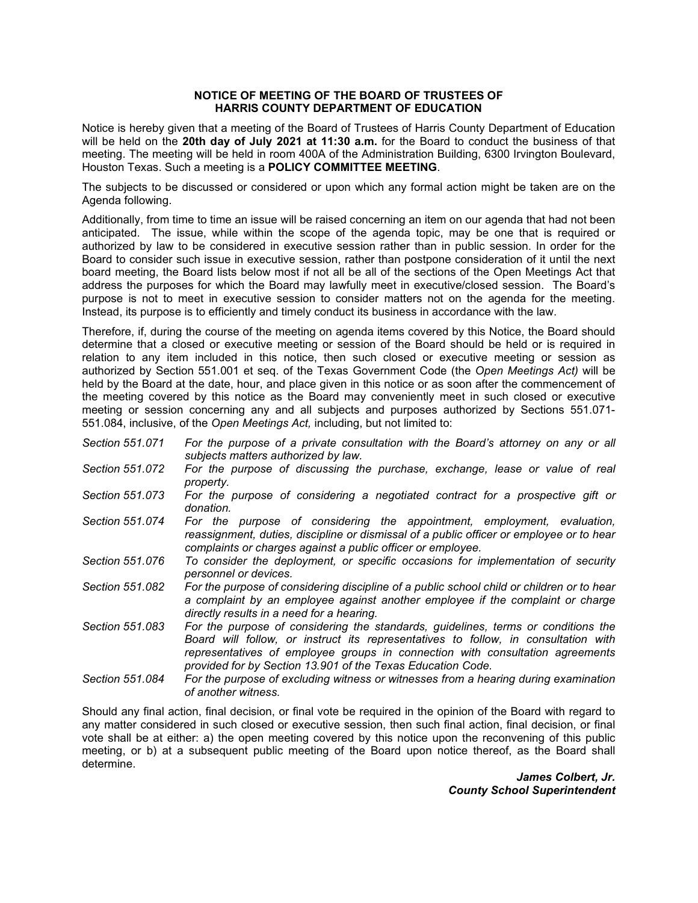## **NOTICE OF MEETING OF THE BOARD OF TRUSTEES OF HARRIS COUNTY DEPARTMENT OF EDUCATION**

 Notice is hereby given that a meeting of the Board of Trustees of Harris County Department of Education  will be held on the **20th day of July 2021 at 11:30 a.m.** for the Board to conduct the business of that meeting. The meeting will be held in room 400A of the Administration Building, 6300 Irvington Boulevard, Houston Texas. Such a meeting is a **POLICY COMMITTEE MEETING**.

 The subjects to be discussed or considered or upon which any formal action might be taken are on the Agenda following.

 Board to consider such issue in executive session, rather than postpone consideration of it until the next board meeting, the Board lists below most if not all be all of the sections of the Open Meetings Act that address the purposes for which the Board may lawfully meet in executive/closed session. The Board's purpose is not to meet in executive session to consider matters not on the agenda for the meeting. Instead, its purpose is to efficiently and timely conduct its business in accordance with the law. Additionally, from time to time an issue will be raised concerning an item on our agenda that had not been anticipated. The issue, while within the scope of the agenda topic, may be one that is required or authorized by law to be considered in executive session rather than in public session. In order for the

 determine that a closed or executive meeting or session of the Board should be held or is required in relation to any item included in this notice, then such closed or executive meeting or session as authorized by Section 551.001 et seq. of the Texas Government Code (the *Open Meetings Act)* will be 551.084, inclusive, of the *Open Meetings Act,* including, but not limited to: Therefore, if, during the course of the meeting on agenda items covered by this Notice, the Board should held by the Board at the date, hour, and place given in this notice or as soon after the commencement of the meeting covered by this notice as the Board may conveniently meet in such closed or executive meeting or session concerning any and all subjects and purposes authorized by Sections 551.071-

- *Section 551.071 For the purpose of a private consultation with the Board's attorney on any or all subjects matters authorized by law.*
- *Section 551.072 For the purpose of discussing the purchase, exchange, lease or value of real property.*
- *Section 551.073 For the purpose of considering a negotiated contract for a prospective gift or donation.*
- Section 551.074  *reassignment, duties, discipline or dismissal of a public officer or employee or to hear*  For the purpose of considering the appointment, employment, evaluation, *complaints or charges against a public officer or employee.*
- *Section 551.076 To consider the deployment, or specific occasions for implementation of security personnel or devices.*
- *Section 551.082 For the purpose of considering discipline of a public school child or children or to hear a complaint by an employee against another employee if the complaint or charge directly results in a need for a hearing.*
- *Section 551.083 For the purpose of considering the standards, guidelines, terms or conditions the Board will follow, or instruct its representatives to follow, in consultation with representatives of employee groups in connection with consultation agreements provided for by Section 13.901 of the Texas Education Code.*
- *Section 551.084 For the purpose of excluding witness or witnesses from a hearing during examination of another witness.*

 Should any final action, final decision, or final vote be required in the opinion of the Board with regard to any matter considered in such closed or executive session, then such final action, final decision, or final vote shall be at either: a) the open meeting covered by this notice upon the reconvening of this public meeting, or b) at a subsequent public meeting of the Board upon notice thereof, as the Board shall determine.

*James Colbert, Jr. County School Superintendent*